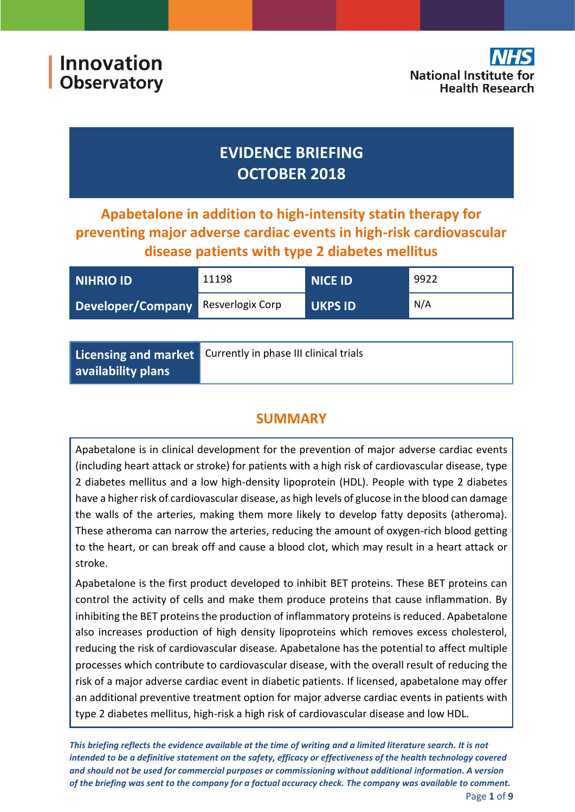**Innovation Observatory** 



# **EVIDENCE BRIEFING OCTOBER 2018**

**Apabetalone in addition to high-intensity statin therapy for preventing major adverse cardiac events in high-risk cardiovascular disease patients with type 2 diabetes mellitus**

| <b>NIHRIO ID</b>                          | 11198 | NICE ID        | 9922 |
|-------------------------------------------|-------|----------------|------|
| <b>Developer/Company</b> Resverlogix Corp |       | <b>UKPS ID</b> | N/A  |

|                    | Licensing and market Currently in phase III clinical trials |
|--------------------|-------------------------------------------------------------|
| availability plans |                                                             |

# **SUMMARY**

Apabetalone is in clinical development for the prevention of major adverse cardiac events (including heart attack or stroke) for patients with a high risk of cardiovascular disease, type 2 diabetes mellitus and a low high-density lipoprotein (HDL). People with type 2 diabetes have a higher risk of cardiovascular disease, as high levels of glucose in the blood can damage the walls of the arteries, making them more likely to develop fatty deposits (atheroma). These atheroma can narrow the arteries, reducing the amount of oxygen-rich blood getting to the heart, or can break off and cause a blood clot, which may result in a heart attack or stroke.

Apabetalone is the first product developed to inhibit BET proteins. These BET proteins can control the activity of cells and make them produce proteins that cause inflammation. By inhibiting the BET proteins the production of inflammatory proteins is reduced. Apabetalone also increases production of high density lipoproteins which removes excess cholesterol, reducing the risk of cardiovascular disease. Apabetalone has the potential to affect multiple processes which contribute to cardiovascular disease, with the overall result of reducing the risk of a major adverse cardiac event in diabetic patients. If licensed, apabetalone may offer an additional preventive treatment option for major adverse cardiac events in patients with type 2 diabetes mellitus, high-risk a high risk of cardiovascular disease and low HDL.

*This briefing reflects the evidence available at the time of writing and a limited literature search. It is not intended to be a definitive statement on the safety, efficacy or effectiveness of the health technology covered and should not be used for commercial purposes or commissioning without additional information. A version of the briefing was sent to the company for a factual accuracy check. The company was available to comment.*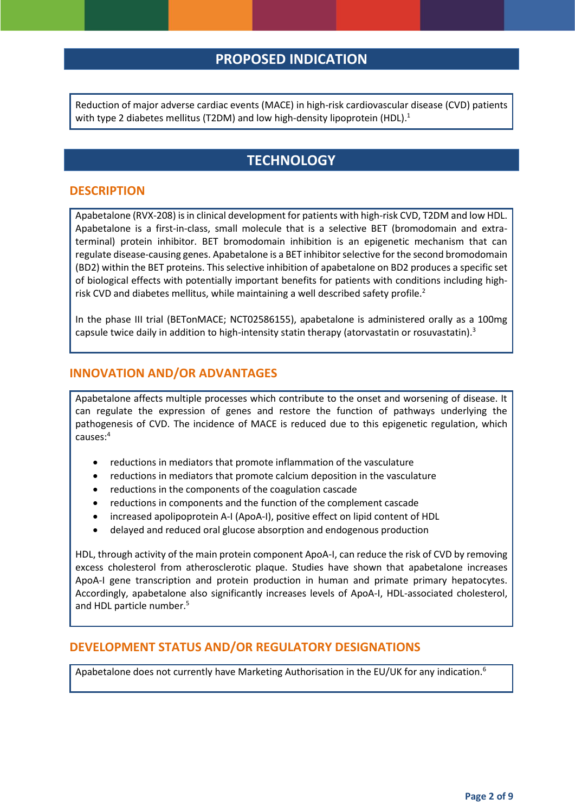# **PROPOSED INDICATION**

Reduction of major adverse cardiac events (MACE) in high-risk cardiovascular disease (CVD) patients with type 2 diabetes mellitus (T2DM) and low high-density lipoprotein (HDL).<sup>1</sup>

# <span id="page-1-0"></span>**TECHNOLOGY**

#### **DESCRIPTION**

Apabetalone (RVX-208) is in clinical development for patients with high-risk CVD, T2DM and low HDL. Apabetalone is a first-in-class, small molecule that is a selective BET (bromodomain and extraterminal) protein inhibitor. BET bromodomain inhibition is an epigenetic mechanism that can regulate disease-causing genes. Apabetalone is a BET inhibitor selective for the second bromodomain (BD2) within the BET proteins. This selective inhibition of apabetalone on BD2 produces a specific set of biological effects with potentially important benefits for patients with conditions including highrisk CVD and diabetes mellitus, while maintaining a well described safety profile.<sup>2</sup>

In the phase III trial (BETonMACE; NCT02586155), apabetalone is administered orally as a 100mg capsule twice daily in addition to high-intensity statin therapy (atorvastatin or rosuvastatin).<sup>3</sup>

#### **INNOVATION AND/OR ADVANTAGES**

Apabetalone affects multiple processes which contribute to the onset and worsening of disease. It can regulate the expression of genes and restore the function of pathways underlying the pathogenesis of CVD. The incidence of MACE is reduced due to this epigenetic regulation, which causes: 4

- reductions in mediators that promote inflammation of the vasculature
- reductions in mediators that promote calcium deposition in the vasculature
- reductions in the components of the coagulation cascade
- reductions in components and the function of the complement cascade
- increased apolipoprotein A-I (ApoA-I), positive effect on lipid content of HDL
- <span id="page-1-1"></span>delayed and reduced oral glucose absorption and endogenous production

HDL, through activity of the main protein component ApoA-I, can reduce the risk of CVD by removing excess cholesterol from atherosclerotic plaque. Studies have shown that apabetalone increases ApoA-I gene transcription and protein production in human and primate primary hepatocytes. Accordingly, apabetalone also significantly increases levels of ApoA-I, HDL-associated cholesterol, and HDL particle number. 5

#### **DEVELOPMENT STATUS AND/OR REGULATORY DESIGNATIONS**

Apabetalone does not currently have Marketing Authorisation in the EU/UK for any indication.<sup>6</sup>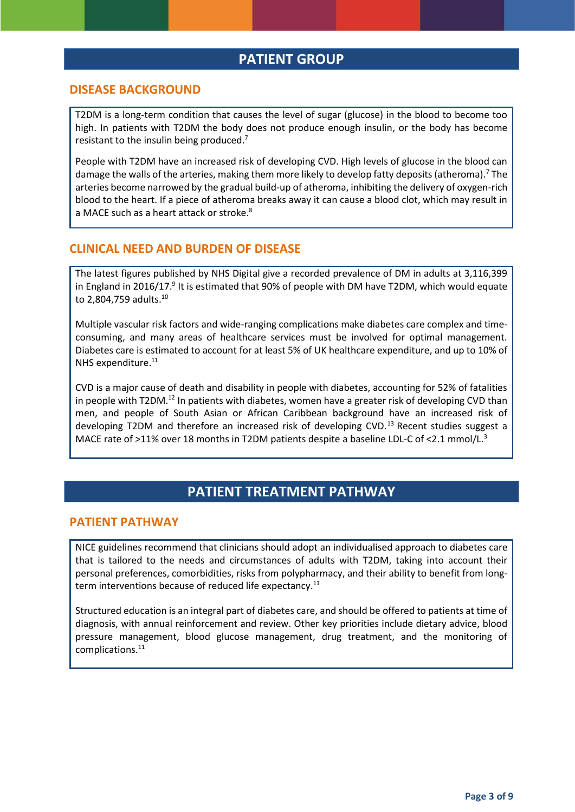## <span id="page-2-0"></span>**PATIENT GROUP**

#### **DISEASE BACKGROUND**

T2DM is a long-term condition that causes the level of sugar (glucose) in the blood to become too high. In patients with T2DM the body does not produce enough insulin, or the body has become resistant to the insulin being produced.<sup>7</sup>

People with T2DM have an increased risk of developing CVD. High levels of glucose in the blood can damage the walls of the arteries, making them more likely to develop fatty deposits (atheroma)[.](#page-2-0)<sup>7</sup> The arteries become narrowed by the gradual build-up of atheroma, inhibiting the delivery of oxygen-rich blood to the heart. If a piece of atheroma breaks away it can cause a blood clot, which may result in a MACE such as a heart attack or stroke.<sup>8</sup>

#### **CLINICAL NEED AND BURDEN OF DISEASE**

The latest figures published by NHS Digital give a recorded prevalence of DM in adults at 3,116,399 in England in 2016/17.<sup>9</sup> It is estimated that 90% of people with DM have T2DM, which would equate to 2,804,759 adults.<sup>10</sup>

Multiple vascular risk factors and wide-ranging complications make diabetes care complex and timeconsuming, and many areas of healthcare services must be involved for optimal management. Diabetes care is estimated to account for at least 5% of UK healthcare expenditure, and up to 10% of NHS expenditure.<sup>11</sup>

<span id="page-2-1"></span>CVD is a major cause of death and disability in people with diabetes, accounting for 52% of fatalities in people with T2DM.<sup>12</sup> In patients with diabetes, women have a greater risk of developing CVD than men, and people of South Asian or African Caribbean background have an increased risk of developing T2DM and therefore an increased risk of developing CVD.<sup>13</sup> Recent studies suggest a MACE rate of >11% over 18 months in T2DM patients despite a baseline LDL-C of <2.1 mmol/L.<sup>[3](#page-1-0)</sup>

### **PATIENT TREATMENT PATHWAY**

#### **PATIENT PATHWAY**

NICE guidelines recommend that clinicians should adopt an individualised approach to diabetes care that is tailored to the needs and circumstances of adults with T2DM, taking into account their personal preferences, comorbidities, risks from polypharmacy, and their ability to benefit from long-term interventions because of reduced life expectancy.<sup>[11](#page-2-1)</sup>

Structured education is an integral part of diabetes care, and should be offered to patients at time of diagnosis, with annual reinforcement and review. Other key priorities include dietary advice, blood pressure management, blood glucose management, drug treatment, and the monitoring of complications.[11](#page-2-1)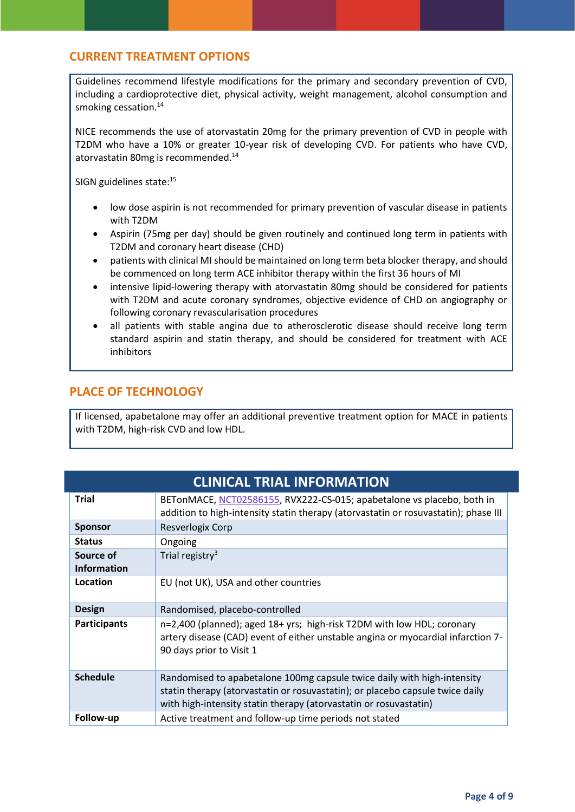### **CURRENT TREATMENT OPTIONS**

<span id="page-3-0"></span>Guidelines recommend lifestyle modifications for the primary and secondary prevention of CVD, including a cardioprotective diet, physical activity, weight management, alcohol consumption and smoking cessation.<sup>14</sup>

NICE recommends the use of atorvastatin 20mg for the primary prevention of CVD in people with T2DM who have a 10% or greater 10-year risk of developing CVD. For patients who have CVD, atorvastatin 80mg is recommended. [14](#page-3-0)

SIGN guidelines state:<sup>15</sup>

- <span id="page-3-1"></span> low dose aspirin is not recommended for primary prevention of vascular disease in patients with T2DM
- Aspirin (75mg per day) should be given routinely and continued long term in patients with T2DM and coronary heart disease (CHD)
- patients with clinical MI should be maintained on long term beta blocker therapy, and should be commenced on long term ACE inhibitor therapy within the first 36 hours of MI
- intensive lipid-lowering therapy with atorvastatin 80mg should be considered for patients with T2DM and acute coronary syndromes, objective evidence of CHD on angiography or following coronary revascularisation procedures
- all patients with stable angina due to atherosclerotic disease should receive long term standard aspirin and statin therapy, and should be considered for treatment with ACE inhibitors

### **PLACE OF TECHNOLOGY**

If licensed, apabetalone may offer an additional preventive treatment option for MACE in patients with T2DM, high-risk CVD and low HDL.

|                                 | <b>CLINICAL TRIAL INFORMATION</b>                                                                                                                                                                                             |
|---------------------------------|-------------------------------------------------------------------------------------------------------------------------------------------------------------------------------------------------------------------------------|
| <b>Trial</b>                    | BETonMACE, NCT02586155, RVX222-CS-015; apabetalone vs placebo, both in<br>addition to high-intensity statin therapy (atorvastatin or rosuvastatin); phase III                                                                 |
| <b>Sponsor</b>                  | Resverlogix Corp                                                                                                                                                                                                              |
| <b>Status</b>                   | Ongoing                                                                                                                                                                                                                       |
| Source of<br><b>Information</b> | Trial registry <sup>3</sup>                                                                                                                                                                                                   |
| Location                        | EU (not UK), USA and other countries                                                                                                                                                                                          |
| <b>Design</b>                   | Randomised, placebo-controlled                                                                                                                                                                                                |
| <b>Participants</b>             | n=2,400 (planned); aged 18+ yrs; high-risk T2DM with low HDL; coronary<br>artery disease (CAD) event of either unstable angina or myocardial infarction 7-<br>90 days prior to Visit 1                                        |
| <b>Schedule</b>                 | Randomised to apabetalone 100mg capsule twice daily with high-intensity<br>statin therapy (atorvastatin or rosuvastatin); or placebo capsule twice daily<br>with high-intensity statin therapy (atorvastatin or rosuvastatin) |
| Follow-up                       | Active treatment and follow-up time periods not stated                                                                                                                                                                        |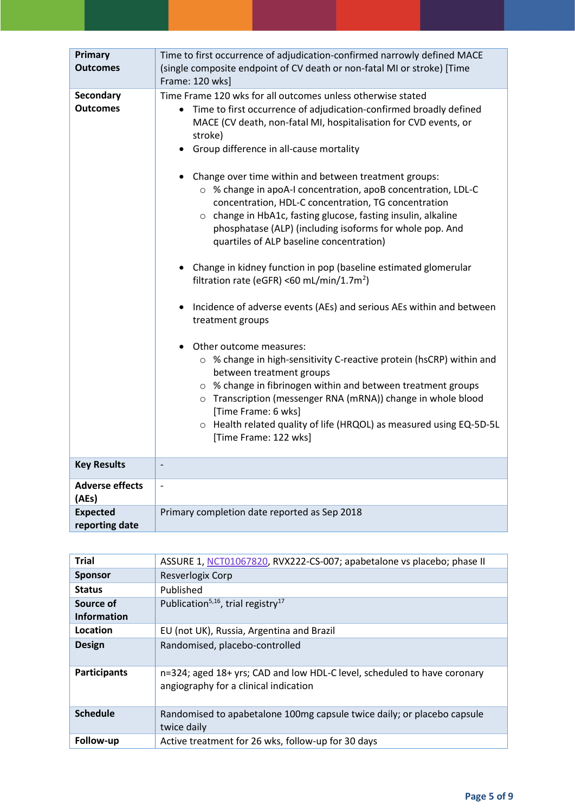| Primary<br><b>Outcomes</b>          | Time to first occurrence of adjudication-confirmed narrowly defined MACE<br>(single composite endpoint of CV death or non-fatal MI or stroke) [Time<br>Frame: 120 wks]                                                                                                                                                                                                                                                                                                                                                                                                                                                                                                                                                                                                                                                                                                                                                                                                                                                                                                                                                                                                                                                                 |
|-------------------------------------|----------------------------------------------------------------------------------------------------------------------------------------------------------------------------------------------------------------------------------------------------------------------------------------------------------------------------------------------------------------------------------------------------------------------------------------------------------------------------------------------------------------------------------------------------------------------------------------------------------------------------------------------------------------------------------------------------------------------------------------------------------------------------------------------------------------------------------------------------------------------------------------------------------------------------------------------------------------------------------------------------------------------------------------------------------------------------------------------------------------------------------------------------------------------------------------------------------------------------------------|
| <b>Secondary</b><br><b>Outcomes</b> | Time Frame 120 wks for all outcomes unless otherwise stated<br>Time to first occurrence of adjudication-confirmed broadly defined<br>MACE (CV death, non-fatal MI, hospitalisation for CVD events, or<br>stroke)<br>Group difference in all-cause mortality<br>Change over time within and between treatment groups:<br>○ % change in apoA-I concentration, apoB concentration, LDL-C<br>concentration, HDL-C concentration, TG concentration<br>o change in HbA1c, fasting glucose, fasting insulin, alkaline<br>phosphatase (ALP) (including isoforms for whole pop. And<br>quartiles of ALP baseline concentration)<br>• Change in kidney function in pop (baseline estimated glomerular<br>filtration rate (eGFR) <60 mL/min/1.7m <sup>2</sup> )<br>Incidence of adverse events (AEs) and serious AEs within and between<br>treatment groups<br>Other outcome measures:<br>○ % change in high-sensitivity C-reactive protein (hsCRP) within and<br>between treatment groups<br>○ % change in fibrinogen within and between treatment groups<br>o Transcription (messenger RNA (mRNA)) change in whole blood<br>[Time Frame: 6 wks]<br>o Health related quality of life (HRQOL) as measured using EQ-5D-5L<br>[Time Frame: 122 wks] |
| <b>Key Results</b>                  | $\overline{\phantom{a}}$                                                                                                                                                                                                                                                                                                                                                                                                                                                                                                                                                                                                                                                                                                                                                                                                                                                                                                                                                                                                                                                                                                                                                                                                               |
| <b>Adverse effects</b><br>(AEs)     | $\overline{\phantom{a}}$                                                                                                                                                                                                                                                                                                                                                                                                                                                                                                                                                                                                                                                                                                                                                                                                                                                                                                                                                                                                                                                                                                                                                                                                               |
| <b>Expected</b><br>reporting date   | Primary completion date reported as Sep 2018                                                                                                                                                                                                                                                                                                                                                                                                                                                                                                                                                                                                                                                                                                                                                                                                                                                                                                                                                                                                                                                                                                                                                                                           |

<span id="page-4-0"></span>

| <b>Trial</b>        | ASSURE 1, NCT01067820, RVX222-CS-007; apabetalone vs placebo; phase II                                            |
|---------------------|-------------------------------------------------------------------------------------------------------------------|
| <b>Sponsor</b>      | Resverlogix Corp                                                                                                  |
| <b>Status</b>       | Published                                                                                                         |
| Source of           | Publication <sup>5,16</sup> , trial registry <sup>17</sup>                                                        |
| <b>Information</b>  |                                                                                                                   |
| Location            | EU (not UK), Russia, Argentina and Brazil                                                                         |
| <b>Design</b>       | Randomised, placebo-controlled                                                                                    |
| <b>Participants</b> | n=324; aged 18+ yrs; CAD and low HDL-C level, scheduled to have coronary<br>angiography for a clinical indication |
| <b>Schedule</b>     | Randomised to apabetalone 100mg capsule twice daily; or placebo capsule<br>twice daily                            |
| Follow-up           | Active treatment for 26 wks, follow-up for 30 days                                                                |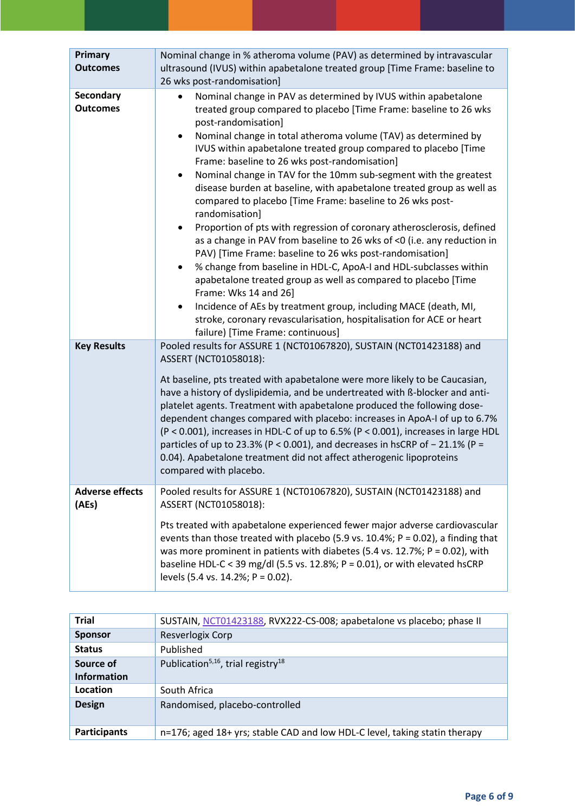| Primary<br><b>Outcomes</b>          | Nominal change in % atheroma volume (PAV) as determined by intravascular<br>ultrasound (IVUS) within apabetalone treated group [Time Frame: baseline to<br>26 wks post-randomisation]                                                                                                                                                                                                                                                                                                                                                                                                                                                                                                                                                                                                                                                                                                                                                                                                                                                                                                                                                                                                                          |
|-------------------------------------|----------------------------------------------------------------------------------------------------------------------------------------------------------------------------------------------------------------------------------------------------------------------------------------------------------------------------------------------------------------------------------------------------------------------------------------------------------------------------------------------------------------------------------------------------------------------------------------------------------------------------------------------------------------------------------------------------------------------------------------------------------------------------------------------------------------------------------------------------------------------------------------------------------------------------------------------------------------------------------------------------------------------------------------------------------------------------------------------------------------------------------------------------------------------------------------------------------------|
| <b>Secondary</b><br><b>Outcomes</b> | Nominal change in PAV as determined by IVUS within apabetalone<br>treated group compared to placebo [Time Frame: baseline to 26 wks<br>post-randomisation]<br>Nominal change in total atheroma volume (TAV) as determined by<br>$\bullet$<br>IVUS within apabetalone treated group compared to placebo [Time<br>Frame: baseline to 26 wks post-randomisation]<br>Nominal change in TAV for the 10mm sub-segment with the greatest<br>$\bullet$<br>disease burden at baseline, with apabetalone treated group as well as<br>compared to placebo [Time Frame: baseline to 26 wks post-<br>randomisation]<br>Proportion of pts with regression of coronary atherosclerosis, defined<br>$\bullet$<br>as a change in PAV from baseline to 26 wks of <0 (i.e. any reduction in<br>PAV) [Time Frame: baseline to 26 wks post-randomisation]<br>% change from baseline in HDL-C, ApoA-I and HDL-subclasses within<br>$\bullet$<br>apabetalone treated group as well as compared to placebo [Time<br>Frame: Wks 14 and 26]<br>Incidence of AEs by treatment group, including MACE (death, MI,<br>$\bullet$<br>stroke, coronary revascularisation, hospitalisation for ACE or heart<br>failure) [Time Frame: continuous] |
| <b>Key Results</b>                  | Pooled results for ASSURE 1 (NCT01067820), SUSTAIN (NCT01423188) and<br>ASSERT (NCT01058018):<br>At baseline, pts treated with apabetalone were more likely to be Caucasian,<br>have a history of dyslipidemia, and be undertreated with ß-blocker and anti-<br>platelet agents. Treatment with apabetalone produced the following dose-<br>dependent changes compared with placebo: increases in ApoA-I of up to 6.7%<br>(P < 0.001), increases in HDL-C of up to 6.5% (P < 0.001), increases in large HDL<br>particles of up to 23.3% (P < 0.001), and decreases in hsCRP of $-$ 21.1% (P =<br>0.04). Apabetalone treatment did not affect atherogenic lipoproteins<br>compared with placebo.                                                                                                                                                                                                                                                                                                                                                                                                                                                                                                                |
| <b>Adverse effects</b><br>(AEs)     | Pooled results for ASSURE 1 (NCT01067820), SUSTAIN (NCT01423188) and<br>ASSERT (NCT01058018):<br>Pts treated with apabetalone experienced fewer major adverse cardiovascular<br>events than those treated with placebo (5.9 vs. 10.4%; $P = 0.02$ ), a finding that<br>was more prominent in patients with diabetes (5.4 vs. 12.7%; $P = 0.02$ ), with<br>baseline HDL-C < 39 mg/dl (5.5 vs. 12.8%; $P = 0.01$ ), or with elevated hsCRP<br>levels (5.4 vs. 14.2%; P = 0.02).                                                                                                                                                                                                                                                                                                                                                                                                                                                                                                                                                                                                                                                                                                                                  |

| <b>Trial</b>        | SUSTAIN, NCT01423188, RVX222-CS-008; apabetalone vs placebo; phase II      |
|---------------------|----------------------------------------------------------------------------|
| <b>Sponsor</b>      | Resverlogix Corp                                                           |
| <b>Status</b>       | Published                                                                  |
| Source of           | Publication <sup>5,16</sup> , trial registry <sup>18</sup>                 |
| <b>Information</b>  |                                                                            |
| Location            | South Africa                                                               |
| <b>Design</b>       | Randomised, placebo-controlled                                             |
| <b>Participants</b> | n=176; aged 18+ yrs; stable CAD and low HDL-C level, taking statin therapy |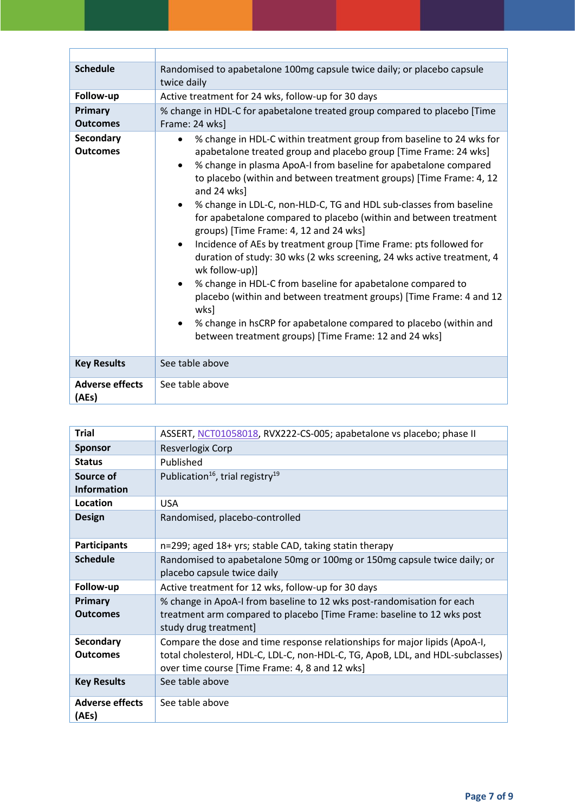| <b>Schedule</b>                     | Randomised to apabetalone 100mg capsule twice daily; or placebo capsule<br>twice daily                                                                                                                                                                                                                                                                                                                                                                                                                                                                                                                                                                                                                                                                                                                                                                                                                                                            |
|-------------------------------------|---------------------------------------------------------------------------------------------------------------------------------------------------------------------------------------------------------------------------------------------------------------------------------------------------------------------------------------------------------------------------------------------------------------------------------------------------------------------------------------------------------------------------------------------------------------------------------------------------------------------------------------------------------------------------------------------------------------------------------------------------------------------------------------------------------------------------------------------------------------------------------------------------------------------------------------------------|
| Follow-up                           | Active treatment for 24 wks, follow-up for 30 days                                                                                                                                                                                                                                                                                                                                                                                                                                                                                                                                                                                                                                                                                                                                                                                                                                                                                                |
| Primary<br><b>Outcomes</b>          | % change in HDL-C for apabetalone treated group compared to placebo [Time<br>Frame: 24 wks]                                                                                                                                                                                                                                                                                                                                                                                                                                                                                                                                                                                                                                                                                                                                                                                                                                                       |
| <b>Secondary</b><br><b>Outcomes</b> | % change in HDL-C within treatment group from baseline to 24 wks for<br>$\bullet$<br>apabetalone treated group and placebo group [Time Frame: 24 wks]<br>% change in plasma ApoA-I from baseline for apabetalone compared<br>to placebo (within and between treatment groups) [Time Frame: 4, 12<br>and 24 wks]<br>% change in LDL-C, non-HLD-C, TG and HDL sub-classes from baseline<br>for apabetalone compared to placebo (within and between treatment<br>groups) [Time Frame: 4, 12 and 24 wks]<br>Incidence of AEs by treatment group [Time Frame: pts followed for<br>duration of study: 30 wks (2 wks screening, 24 wks active treatment, 4<br>wk follow-up)]<br>% change in HDL-C from baseline for apabetalone compared to<br>placebo (within and between treatment groups) [Time Frame: 4 and 12<br>wks]<br>% change in hsCRP for apabetalone compared to placebo (within and<br>between treatment groups) [Time Frame: 12 and 24 wks] |
| <b>Key Results</b>                  | See table above                                                                                                                                                                                                                                                                                                                                                                                                                                                                                                                                                                                                                                                                                                                                                                                                                                                                                                                                   |
| <b>Adverse effects</b><br>(AEs)     | See table above                                                                                                                                                                                                                                                                                                                                                                                                                                                                                                                                                                                                                                                                                                                                                                                                                                                                                                                                   |

| <b>Trial</b>                    | ASSERT, NCT01058018, RVX222-CS-005; apabetalone vs placebo; phase II                                                                                                                                           |
|---------------------------------|----------------------------------------------------------------------------------------------------------------------------------------------------------------------------------------------------------------|
| <b>Sponsor</b>                  | Resverlogix Corp                                                                                                                                                                                               |
| <b>Status</b>                   | Published                                                                                                                                                                                                      |
| Source of                       | Publication <sup>16</sup> , trial registry <sup>19</sup>                                                                                                                                                       |
| <b>Information</b>              |                                                                                                                                                                                                                |
| Location                        | <b>USA</b>                                                                                                                                                                                                     |
| <b>Design</b>                   | Randomised, placebo-controlled                                                                                                                                                                                 |
| <b>Participants</b>             | n=299; aged 18+ yrs; stable CAD, taking statin therapy                                                                                                                                                         |
| <b>Schedule</b>                 | Randomised to apabetalone 50mg or 100mg or 150mg capsule twice daily; or<br>placebo capsule twice daily                                                                                                        |
| Follow-up                       | Active treatment for 12 wks, follow-up for 30 days                                                                                                                                                             |
| Primary<br><b>Outcomes</b>      | % change in ApoA-I from baseline to 12 wks post-randomisation for each<br>treatment arm compared to placebo [Time Frame: baseline to 12 wks post<br>study drug treatment]                                      |
| Secondary<br><b>Outcomes</b>    | Compare the dose and time response relationships for major lipids (ApoA-I,<br>total cholesterol, HDL-C, LDL-C, non-HDL-C, TG, ApoB, LDL, and HDL-subclasses)<br>over time course [Time Frame: 4, 8 and 12 wks] |
| <b>Key Results</b>              | See table above                                                                                                                                                                                                |
| <b>Adverse effects</b><br>(AEs) | See table above                                                                                                                                                                                                |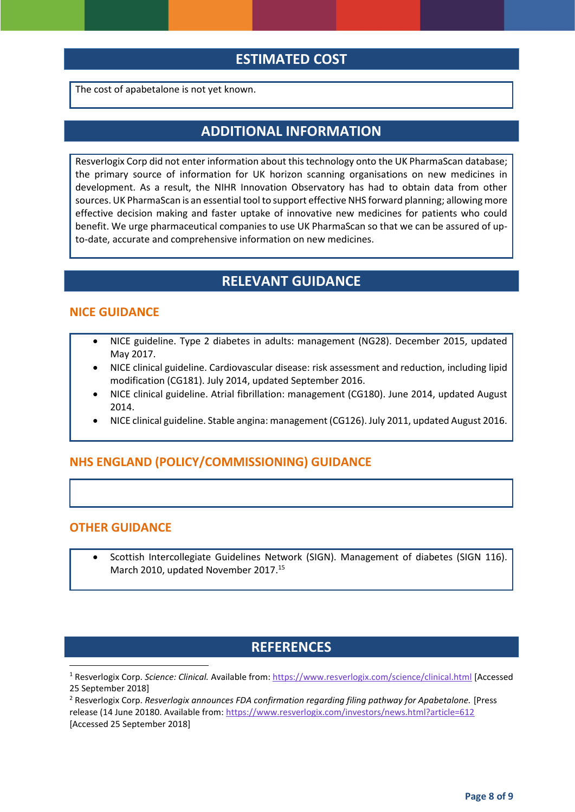# **ESTIMATED COST**

The cost of apabetalone is not yet known.

## **ADDITIONAL INFORMATION**

Resverlogix Corp did not enter information about this technology onto the UK PharmaScan database; the primary source of information for UK horizon scanning organisations on new medicines in development. As a result, the NIHR Innovation Observatory has had to obtain data from other sources. UK PharmaScan is an essential tool to support effective NHS forward planning; allowing more effective decision making and faster uptake of innovative new medicines for patients who could benefit. We urge pharmaceutical companies to use UK PharmaScan so that we can be assured of upto-date, accurate and comprehensive information on new medicines.

# **RELEVANT GUIDANCE**

#### **NICE GUIDANCE**

- NICE guideline. Type 2 diabetes in adults: management (NG28). December 2015, updated May 2017.
- NICE clinical guideline. Cardiovascular disease: risk assessment and reduction, including lipid modification (CG181). July 2014, updated September 2016.
- NICE clinical guideline. Atrial fibrillation: management (CG180). June 2014, updated August 2014.
- NICE clinical guideline. Stable angina: management (CG126). July 2011, updated August 2016.

#### **NHS ENGLAND (POLICY/COMMISSIONING) GUIDANCE**

#### **OTHER GUIDANCE**

**.** 

 Scottish Intercollegiate Guidelines Network (SIGN). Management of diabetes (SIGN 116). March 2010, updated November 2017.<sup>[15](#page-3-1)</sup>

### **REFERENCES**

<sup>1</sup> Resverlogix Corp. *Science: Clinical.* Available from[: https://www.resverlogix.com/science/clinical.html](https://www.resverlogix.com/science/clinical.html) [Accessed 25 September 2018]

<sup>2</sup> Resverlogix Corp. *Resverlogix announces FDA confirmation regarding filing pathway for Apabetalone.* [Press release (14 June 20180. Available from:<https://www.resverlogix.com/investors/news.html?article=612> [Accessed 25 September 2018]